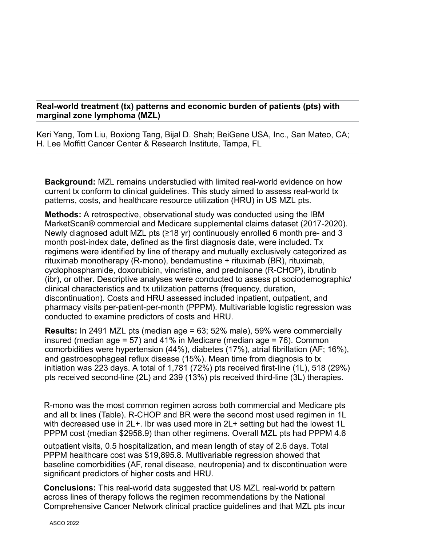## **Real-world treatment (tx) patterns and economic burden of patients (pts) with marginal zone lymphoma (MZL)**

Keri Yang, Tom Liu, Boxiong Tang, Bijal D. Shah; BeiGene USA, Inc., San Mateo, CA; H. Lee Moffitt Cancer Center & Research Institute, Tampa, FL

**Background:** MZL remains understudied with limited real-world evidence on how current tx conform to clinical guidelines. This study aimed to assess real-world tx patterns, costs, and healthcare resource utilization (HRU) in US MZL pts.

**Methods:** A retrospective, observational study was conducted using the IBM MarketScan® commercial and Medicare supplemental claims dataset (2017-2020). Newly diagnosed adult MZL pts (≥18 yr) continuously enrolled 6 month pre- and 3 month post-index date, defined as the first diagnosis date, were included. Tx regimens were identified by line of therapy and mutually exclusively categorized as rituximab monotherapy (R-mono), bendamustine + rituximab (BR), rituximab, cyclophosphamide, doxorubicin, vincristine, and prednisone (R-CHOP), ibrutinib (ibr), or other. Descriptive analyses were conducted to assess pt sociodemographic/ clinical characteristics and tx utilization patterns (frequency, duration, discontinuation). Costs and HRU assessed included inpatient, outpatient, and pharmacy visits per-patient-per-month (PPPM). Multivariable logistic regression was conducted to examine predictors of costs and HRU.

**Results:** In 2491 MZL pts (median age = 63; 52% male), 59% were commercially insured (median age = 57) and 41% in Medicare (median age = 76). Common comorbidities were hypertension (44%), diabetes (17%), atrial fibrillation (AF; 16%), and gastroesophageal reflux disease (15%). Mean time from diagnosis to tx initiation was 223 days. A total of 1,781 (72%) pts received first-line (1L), 518 (29%) pts received second-line (2L) and 239 (13%) pts received third-line (3L) therapies.

R-mono was the most common regimen across both commercial and Medicare pts and all tx lines (Table). R-CHOP and BR were the second most used regimen in 1L with decreased use in 2L+. Ibr was used more in 2L+ setting but had the lowest 1L PPPM cost (median \$2958.9) than other regimens. Overall MZL pts had PPPM 4.6

outpatient visits, 0.5 hospitalization, and mean length of stay of 2.6 days. Total PPPM healthcare cost was \$19,895.8. Multivariable regression showed that baseline comorbidities (AF, renal disease, neutropenia) and tx discontinuation were significant predictors of higher costs and HRU.

**Conclusions:** This real-world data suggested that US MZL real-world tx pattern across lines of therapy follows the regimen recommendations by the National Comprehensive Cancer Network clinical practice guidelines and that MZL pts incur